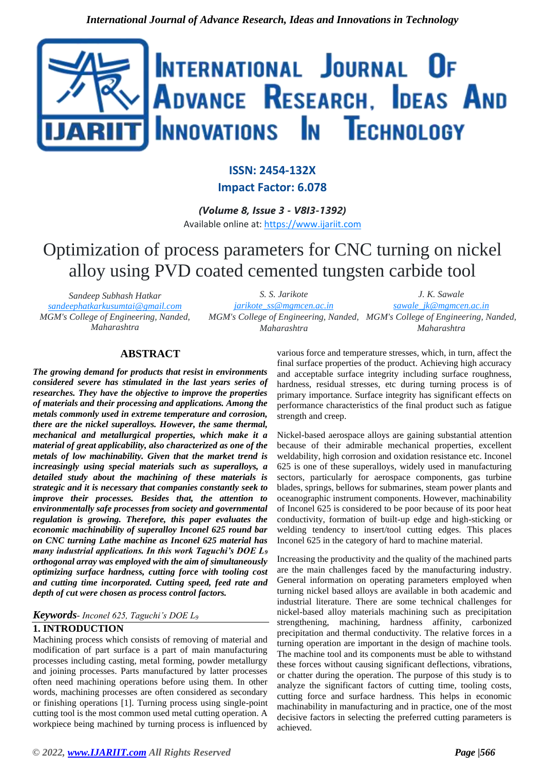

## **ISSN: 2454-132X Impact Factor: 6.078**

*(Volume 8, Issue 3 - V8I3-1392)* Available online at: [https://www.ijariit.com](https://www.ijariit.com/?utm_source=pdf&utm_medium=edition&utm_campaign=OmAkSols&utm_term=V8I3-1392)

# Optimization of process parameters for CNC turning on nickel alloy using PVD coated cemented tungsten carbide tool

*Sandeep Subhash Hatkar [sandeephatkarkusumtai@gmail.com](mailto:sandeephatkarkusumtai@gmail.com) MGM's College of Engineering, Nanded, Maharashtra*

*S. S. Jarikote [jarikote\\_ss@mgmcen.ac.in](mailto:jarikote_ss@mgmcen.ac.in) MGM's College of Engineering, Nanded, MGM's College of Engineering, Nanded, Maharashtra J. K. Sawale [sawale\\_jk@mgmcen.ac.in](mailto:sawale_jk@mgmcen.ac.in) Maharashtra*

## **ABSTRACT**

*The growing demand for products that resist in environments considered severe has stimulated in the last years series of researches. They have the objective to improve the properties of materials and their processing and applications. Among the metals commonly used in extreme temperature and corrosion, there are the nickel superalloys. However, the same thermal, mechanical and metallurgical properties, which make it a material of great applicability, also characterized as one of the metals of low machinability. Given that the market trend is increasingly using special materials such as superalloys, a detailed study about the machining of these materials is strategic and it is necessary that companies constantly seek to improve their processes. Besides that, the attention to environmentally safe processes from society and governmental regulation is growing. Therefore, this paper evaluates the economic machinability of superalloy Inconel 625 round bar on CNC turning Lathe machine as Inconel 625 material has many industrial applications. In this work Taguchi's DOE L<sup>9</sup> orthogonal array was employed with the aim of simultaneously optimizing surface hardness, cutting force with tooling cost and cutting time incorporated. Cutting speed, feed rate and depth of cut were chosen as process control factors.*

#### *Keywords- Inconel 625, Taguchi's DOE L<sup>9</sup>*

## **1. INTRODUCTION**

Machining process which consists of removing of material and modification of part surface is a part of main manufacturing processes including casting, metal forming, powder metallurgy and joining processes. Parts manufactured by latter processes often need machining operations before using them. In other words, machining processes are often considered as secondary or finishing operations [1]. Turning process using single-point cutting tool is the most common used metal cutting operation. A workpiece being machined by turning process is influenced by

various force and temperature stresses, which, in turn, affect the final surface properties of the product. Achieving high accuracy and acceptable surface integrity including surface roughness, hardness, residual stresses, etc during turning process is of primary importance. Surface integrity has significant effects on performance characteristics of the final product such as fatigue strength and creep.

Nickel-based aerospace alloys are gaining substantial attention because of their admirable mechanical properties, excellent weldability, high corrosion and oxidation resistance etc. Inconel 625 is one of these superalloys, widely used in manufacturing sectors, particularly for aerospace components, gas turbine blades, springs, bellows for submarines, steam power plants and oceanographic instrument components. However, machinability of Inconel 625 is considered to be poor because of its poor heat conductivity, formation of built-up edge and high-sticking or welding tendency to insert/tool cutting edges. This places Inconel 625 in the category of hard to machine material.

Increasing the productivity and the quality of the machined parts are the main challenges faced by the manufacturing industry. General information on operating parameters employed when turning nickel based alloys are available in both academic and industrial literature. There are some technical challenges for nickel-based alloy materials machining such as precipitation strengthening, machining, hardness affinity, carbonized precipitation and thermal conductivity. The relative forces in a turning operation are important in the design of machine tools. The machine tool and its components must be able to withstand these forces without causing significant deflections, vibrations, or chatter during the operation. The purpose of this study is to analyze the significant factors of cutting time, tooling costs, cutting force and surface hardness. This helps in economic machinability in manufacturing and in practice, one of the most decisive factors in selecting the preferred cutting parameters is achieved.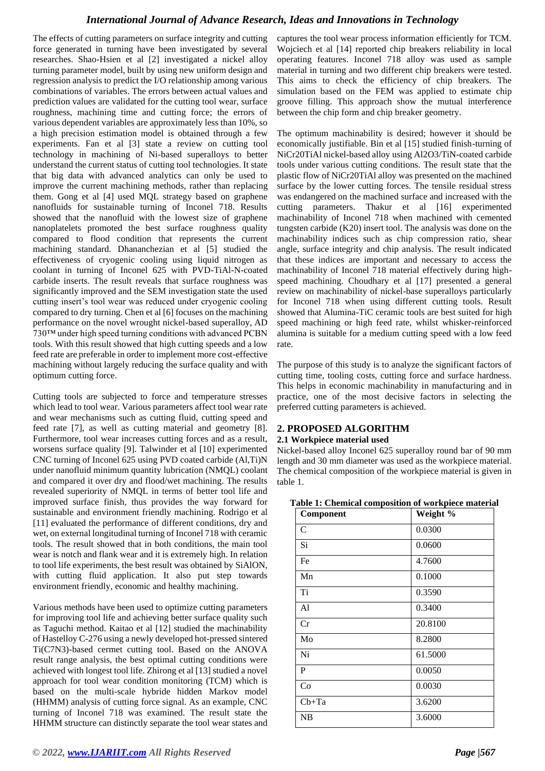The effects of cutting parameters on surface integrity and cutting force generated in turning have been investigated by several researches. Shao-Hsien et al [2] investigated a nickel alloy turning parameter model, built by using new uniform design and regression analysis to predict the I/O relationship among various combinations of variables. The errors between actual values and prediction values are validated for the cutting tool wear, surface roughness, machining time and cutting force; the errors of various dependent variables are approximately less than 10%, so a high precision estimation model is obtained through a few experiments. Fan et al [3] state a review on cutting tool technology in machining of Ni-based superalloys to better understand the current status of cutting tool technologies. It state that big data with advanced analytics can only be used to improve the current machining methods, rather than replacing them. Gong et al [4] used MQL strategy based on graphene nanofluids for sustainable turning of Inconel 718. Results showed that the nanofluid with the lowest size of graphene nanoplatelets promoted the best surface roughness quality compared to flood condition that represents the current machining standard. Dhananchezian et al [5] studied the effectiveness of cryogenic cooling using liquid nitrogen as coolant in turning of Inconel 625 with PVD-TiAl-N-coated carbide inserts. The result reveals that surface roughness was significantly improved and the SEM investigation state the used cutting insert's tool wear was reduced under cryogenic cooling compared to dry turning. Chen et al [6] focuses on the machining performance on the novel wrought nickel-based superalloy, AD 730™ under high speed turning conditions with advanced PCBN tools. With this result showed that high cutting speeds and a low feed rate are preferable in order to implement more cost-effective machining without largely reducing the surface quality and with optimum cutting force.

Cutting tools are subjected to force and temperature stresses which lead to tool wear. Various parameters affect tool wear rate and wear mechanisms such as cutting fluid, cutting speed and feed rate [7], as well as cutting material and geometry [8]. Furthermore, tool wear increases cutting forces and as a result, worsens surface quality [9]. Talwinder et al [10] experimented CNC turning of Inconel 625 using PVD coated carbide (Al,Ti)N under nanofluid minimum quantity lubrication (NMQL) coolant and compared it over dry and flood/wet machining. The results revealed superiority of NMQL in terms of better tool life and improved surface finish, thus provides the way forward for sustainable and environment friendly machining. Rodrigo et al [11] evaluated the performance of different conditions, dry and wet, on external longitudinal turning of Inconel 718 with ceramic tools. The result showed that in both conditions, the main tool wear is notch and flank wear and it is extremely high. In relation to tool life experiments, the best result was obtained by SiAlON, with cutting fluid application. It also put step towards environment friendly, economic and healthy machining.

Various methods have been used to optimize cutting parameters for improving tool life and achieving better surface quality such as Taguchi method. Kaitao et al [12] studied the machinability of Hastelloy C-276 using a newly developed hot-pressed sintered Ti(C7N3)-based cermet cutting tool. Based on the ANOVA result range analysis, the best optimal cutting conditions were achieved with longest tool life. Zhirong et al [13] studied a novel approach for tool wear condition monitoring (TCM) which is based on the multi-scale hybride hidden Markov model (HHMM) analysis of cutting force signal. As an example, CNC turning of Inconel 718 was examined. The result state the HHMM structure can distinctly separate the tool wear states and

captures the tool wear process information efficiently for TCM. Wojciech et al [14] reported chip breakers reliability in local operating features. Inconel 718 alloy was used as sample material in turning and two different chip breakers were tested. This aims to check the efficiency of chip breakers. The simulation based on the FEM was applied to estimate chip groove filling. This approach show the mutual interference between the chip form and chip breaker geometry.

The optimum machinability is desired; however it should be economically justifiable. Bin et al [15] studied finish-turning of NiCr20TiAl nickel-based alloy using Al2O3/TiN-coated carbide tools under various cutting conditions. The result state that the plastic flow of NiCr20TiAl alloy was presented on the machined surface by the lower cutting forces. The tensile residual stress was endangered on the machined surface and increased with the cutting parameters. Thakur et al [16] experimented machinability of Inconel 718 when machined with cemented tungsten carbide (K20) insert tool. The analysis was done on the machinability indices such as chip compression ratio, shear angle, surface integrity and chip analysis. The result indicated that these indices are important and necessary to access the machinability of Inconel 718 material effectively during highspeed machining. Choudhary et al [17] presented a general review on machinability of nickel-base superalloys particularly for Inconel 718 when using different cutting tools. Result showed that Alumina-TiC ceramic tools are best suited for high speed machining or high feed rate, whilst whisker-reinforced alumina is suitable for a medium cutting speed with a low feed rate.

The purpose of this study is to analyze the significant factors of cutting time, tooling costs, cutting force and surface hardness. This helps in economic machinability in manufacturing and in practice, one of the most decisive factors in selecting the preferred cutting parameters is achieved.

#### **2. PROPOSED ALGORITHM**

#### **2.1 Workpiece material used**

Nickel-based alloy Inconel 625 superalloy round bar of 90 mm length and 30 mm diameter was used as the workpiece material. The chemical composition of the workpiece material is given in table 1.

| Table 1: Chemical composition of workpiece material |
|-----------------------------------------------------|
|-----------------------------------------------------|

| Component      | Weight % |
|----------------|----------|
| C              | 0.0300   |
| Si             | 0.0600   |
| Fe             | 4.7600   |
| Mn             | 0.1000   |
| Ti             | 0.3590   |
| A <sub>1</sub> | 0.3400   |
| Cr             | 20.8100  |
| Mo             | 8.2800   |
| Ni             | 61.5000  |
| P              | 0.0050   |
| Co             | 0.0030   |
| $Cb+Ta$        | 3.6200   |
| NB             | 3.6000   |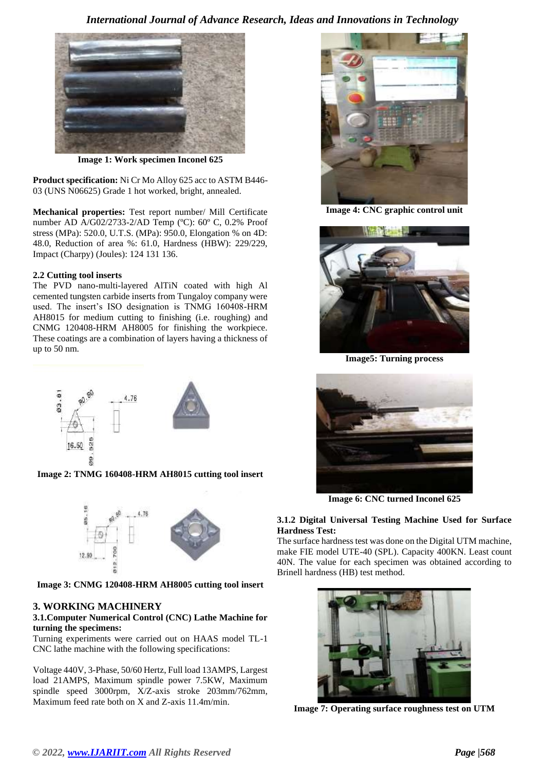

**Image 1: Work specimen Inconel 625**

**Product specification:** Ni Cr Mo Alloy 625 acc to ASTM B446- 03 (UNS N06625) Grade 1 hot worked, bright, annealed.

**Mechanical properties:** Test report number/ Mill Certificate number AD A/G02/2733-2/AD Temp (ºC): 60º C, 0.2% Proof stress (MPa): 520.0, U.T.S. (MPa): 950.0, Elongation % on 4D: 48.0, Reduction of area %: 61.0, Hardness (HBW): 229/229, Impact (Charpy) (Joules): 124 131 136.

#### **2.2 Cutting tool inserts**

The PVD nano-multi-layered AlTiN coated with high Al cemented tungsten carbide inserts from Tungaloy company were used. The insert's ISO designation is TNMG 160408-HRM AH8015 for medium cutting to finishing (i.e. roughing) and CNMG 120408-HRM AH8005 for finishing the workpiece. These coatings are a combination of layers having a thickness of up to 50 nm.



**Image 2: TNMG 160408-HRM AH8015 cutting tool insert**



**Image 3: CNMG 120408-HRM AH8005 cutting tool insert**

#### **3. WORKING MACHINERY**

#### **3.1.Computer Numerical Control (CNC) Lathe Machine for turning the specimens:**

Turning experiments were carried out on HAAS model TL-1 CNC lathe machine with the following specifications:

Voltage 440V, 3-Phase, 50/60 Hertz, Full load 13AMPS, Largest load 21AMPS, Maximum spindle power 7.5KW, Maximum spindle speed 3000rpm, X/Z-axis stroke 203mm/762mm, Maximum feed rate both on X and Z-axis 11.4m/min.



**Image 4: CNC graphic control unit**



**Image5: Turning process**



**Image 6: CNC turned Inconel 625**

#### **3.1.2 Digital Universal Testing Machine Used for Surface Hardness Test:**

The surface hardness test was done on the Digital UTM machine, make FIE model UTE-40 (SPL). Capacity 400KN. Least count 40N. The value for each specimen was obtained according to Brinell hardness (HB) test method.



**Image 7: Operating surface roughness test on UTM**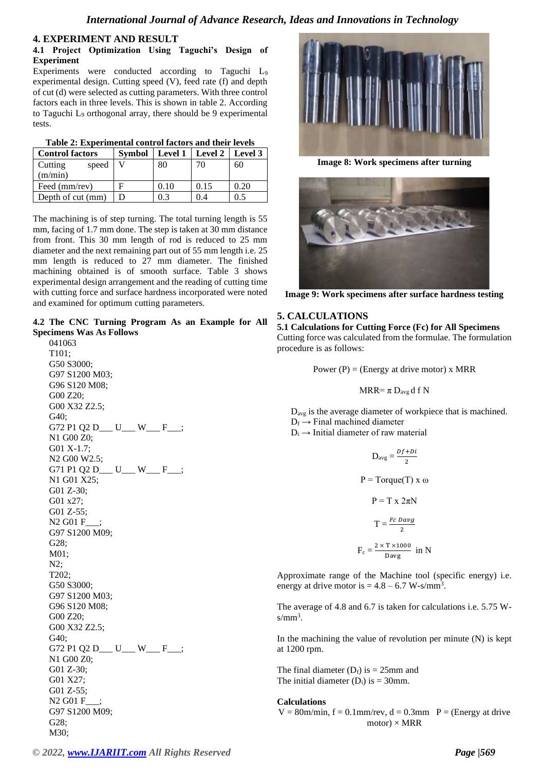#### **4. EXPERIMENT AND RESULT**

#### **4.1 Project Optimization Using Taguchi's Design of Experiment**

Experiments were conducted according to Taguchi L<sup>9</sup> experimental design. Cutting speed (V), feed rate (f) and depth of cut (d) were selected as cutting parameters. With three control factors each in three levels. This is shown in table 2. According to Taguchi L<sub>9</sub> orthogonal array, there should be 9 experimental tests.

| <b>Control factors</b> |      | Symbol   Level 1   Level 2   Level 3 |      |
|------------------------|------|--------------------------------------|------|
| Cutting<br>speed       | 80   | 70                                   | 60   |
| (m/min)                |      |                                      |      |
| Feed (mm/rev)          | 0.10 | 0.15                                 | 0.20 |
| Depth of cut (mm)      | 0.3  | 0.4                                  | 0.5  |

The machining is of step turning. The total turning length is 55 mm, facing of 1.7 mm done. The step is taken at 30 mm distance from front. This 30 mm length of rod is reduced to 25 mm diameter and the next remaining part out of 55 mm length i.e. 25 mm length is reduced to 27 mm diameter. The finished machining obtained is of smooth surface. Table 3 shows experimental design arrangement and the reading of cutting time with cutting force and surface hardness incorporated were noted and examined for optimum cutting parameters.

|  |                                 | 4.2 The CNC Turning Program As an Example for All |  |  |  |
|--|---------------------------------|---------------------------------------------------|--|--|--|
|  | <b>Specimens Was As Follows</b> |                                                   |  |  |  |

 041063 T101; G50 S3000; G97 S1200 M03; G96 S120 M08; G00 Z20; G00 X32 Z2.5; G40; G72 P1 Q2 D\_\_\_ U\_\_\_ W\_\_\_ F\_\_\_; N1 G00 Z0; G01 X-1.7; N2 G00 W2.5; G71 P1 Q2 D\_\_\_ U\_\_\_ W\_\_\_ F\_\_; N1 G01 X25; G01 Z-30; G01 x27; G01 Z-55; N2 G01 F\_\_\_; G97 S1200 M09; G28; M01; N2; T202; G50 S3000; G97 S1200 M03; G96 S120 M08; G00 Z20; G00 X32 Z2.5; G40; G72 P1 Q2 D\_\_\_ U\_\_\_ W\_\_\_ F\_\_\_; N1 G00 Z0; G01 Z-30; G01 X27; G01 Z-55; N2 G01 F\_\_\_; G97 S1200 M09; G28; M30;



**Image 8: Work specimens after turning**



**Image 9: Work specimens after surface hardness testing**

## **5. CALCULATIONS**

**5.1 Calculations for Cutting Force (Fc) for All Specimens** Cutting force was calculated from the formulae. The formulation procedure is as follows:

Power  $(P)$  = (Energy at drive motor) x MRR

$$
MRR{=}\,\pi\,D_{avg}\,d\;f\;N
$$

D<sub>avg</sub> is the average diameter of workpiece that is machined.  $D_f \rightarrow$  Final machined diameter

 $D_i \rightarrow$  Initial diameter of raw material

$$
D_{avg} = \frac{Df + Di}{2}
$$
  
P = Torque(T) x  $\omega$   
P = T x 2 $\pi$ N  

$$
T = \frac{Fc \, Day}{2}
$$
  

$$
F_c = \frac{2 \times T \times 1000}{Day} \text{ in N}
$$

Approximate range of the Machine tool (specific energy) i.e. energy at drive motor is  $= 4.8 - 6.7$  W-s/mm<sup>3</sup>.

The average of 4.8 and 6.7 is taken for calculations i.e. 5.75 W $s/mm^3$ .

In the machining the value of revolution per minute  $(N)$  is kept at 1200 rpm.

The final diameter  $(D_f)$  is = 25mm and The initial diameter  $(D_i)$  is = 30mm.

#### **Calculations**

 $V = 80$ m/min, f = 0.1mm/rev, d = 0.3mm  $P = (Energy at drive$  $motor) \times MRR$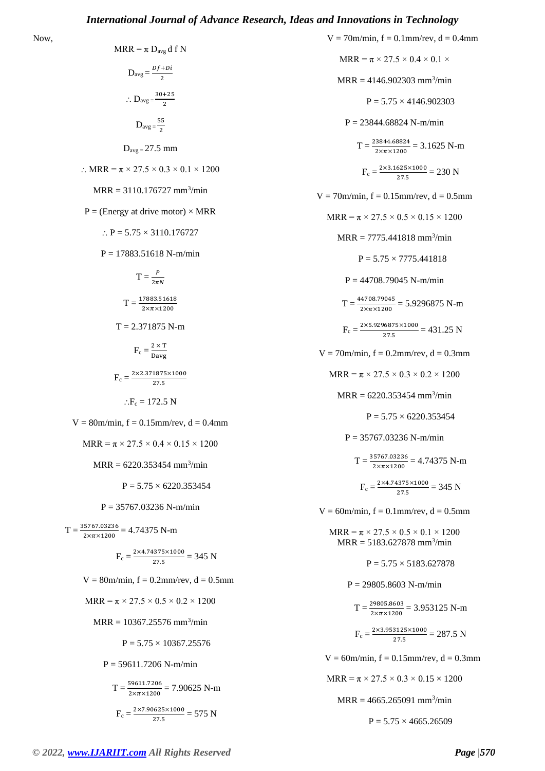NRR = 
$$
\pi D_{avg} = \frac{Df + D\hat{i}}{2}
$$
  
\n $\therefore D_{avg} = \frac{30 + 25}{2}$   
\n $\therefore D_{avg} = \frac{30 + 25}{2}$   
\n $D_{avg} = 27.5 \text{ mm}$   
\n $\therefore \text{ MRR} = \pi \times 27.5 \times 0.3 \times 0.1 \times 1200$   
\n $\text{MRR} = 3110.176727 \text{ mm}^3/\text{min}$   
\n $P = (\text{Energy at drive motor}) \times \text{MRR}$   
\n $\therefore P = 5.75 \times 3110.176727$   
\n $P = 17883.51618 \text{ N-m/min}$   
\n $T = \frac{P}{2\pi N}$   
\n $T = \frac{27983.51618 \text{ N-m/min}}{2 \times \pi \times 1200}$   
\n $T = 2.371875 \text{ N-m}$   
\n $F_c = \frac{2 \times T}{27.5}$   
\n $\therefore F_c = 172.5 \text{ N}$   
\n $V = 80 \text{m/min}, f = 0.15 \text{mm/rev}, d = 0.4 \text{mm}$   
\n $\text{MRR} = \pi \times 27.5 \times 0.4 \times 0.15 \times 1200$   
\n $\text{MRR} = \pi \times 27.5 \times 0.4 \times 0.15 \times 1200$   
\n $\text{MRR} = 6220.353454 \text{ mm}^3/\text{min}$   
\n $P = 5.75 \times 6220.353454$   
\n $P = 35767.03226 \text{ N-m/min}$   
\n $T = \frac{35767.03236}{2 \times \pi \times 1200} = 4.74375 \text{ N-m}$   
\n $F_c = \frac{2 \times 4.74375 \times 1000}{27.5} = 345 \text{ N}$   
\n $V = 80 \text{m/min}, f = 0.2 \text{mm/rev}, d = 0$ 

Now,

 $F_c = \frac{2 \times 7.90625 \times 1000}{37.5}$  $\frac{1823 \times 1000}{27.5} = 575$  N

 $V = 70$ m/min,  $f = 0.1$ mm/rev,  $d = 0.4$ mm  $MRR = \pi \times 27.5 \times 0.4 \times 0.1 \times$  $MRR = 4146.902303$  mm<sup>3</sup>/min  $P = 5.75 \times 4146.902303$  $P = 23844.68824$  N-m/min  $T = \frac{23844.68824}{2 \times \pi \times 1200} = 3.1625$  N-m  $F_c = \frac{2 \times 3.1625 \times 1000}{37.5}$  $\frac{623\times1000}{27.5} = 230$  N  $V = 70$ m/min,  $f = 0.15$ mm/rev,  $d = 0.5$ mm  $MRR = \pi \times 27.5 \times 0.5 \times 0.15 \times 1200$  $MRR = 7775.441818$  mm<sup>3</sup>/min  $P = 5.75 \times 7775.441818$  $P = 44708.79045$  N-m/min  $T = \frac{44708.79045}{2 \times \pi \times 1200} = 5.9296875 \text{ N-m}$  $F_c = \frac{2 \times 5.9296875 \times 1000}{37.5}$  $\frac{10873 \times 1000}{27.5} = 431.25 \text{ N}$  $V = 70$ m/min,  $f = 0.2$ mm/rev,  $d = 0.3$ mm  $MRR = \pi \times 27.5 \times 0.3 \times 0.2 \times 1200$  $MRR = 6220.353454$  mm<sup>3</sup>/min  $P = 5.75 \times 6220.353454$  $P = 35767.03236$  N-m/min  $T = \frac{35767.03236}{2 \times \pi \times 1200} = 4.74375 \text{ N-m}$  $F_c = \frac{2 \times 4.74375 \times 1000}{37.5}$  $\frac{183321000}{27.5} = 345 \text{ N}$  $V = 60$ m/min,  $f = 0.1$ mm/rev,  $d = 0.5$ mm  $MRR = \pi \times 27.5 \times 0.5 \times 0.1 \times 1200$  $MRR = 5183.627878$  mm<sup>3</sup>/min  $P = 5.75 \times 5183.627878$  $P = 29805.8603 N-m/min$  $T = \frac{29805.8603}{2 \times \pi \times 1200} = 3.953125 \text{ N-m}$  $F_c = \frac{2 \times 3.953125 \times 1000}{37.5}$  $\frac{3123\times1000}{27.5} = 287.5$  N  $V = 60$ m/min,  $f = 0.15$ mm/rev,  $d = 0.3$ mm  $MRR = \pi \times 27.5 \times 0.3 \times 0.15 \times 1200$ 

 $MRR = 4665.265091$  mm<sup>3</sup>/min

 $P = 5.75 \times 4665.26509$ 

#### *© 2022[, www.IJARIIT.com](file:///C:/omak/Downloads/www.IJARIIT.com) All Rights Reserved Page |570*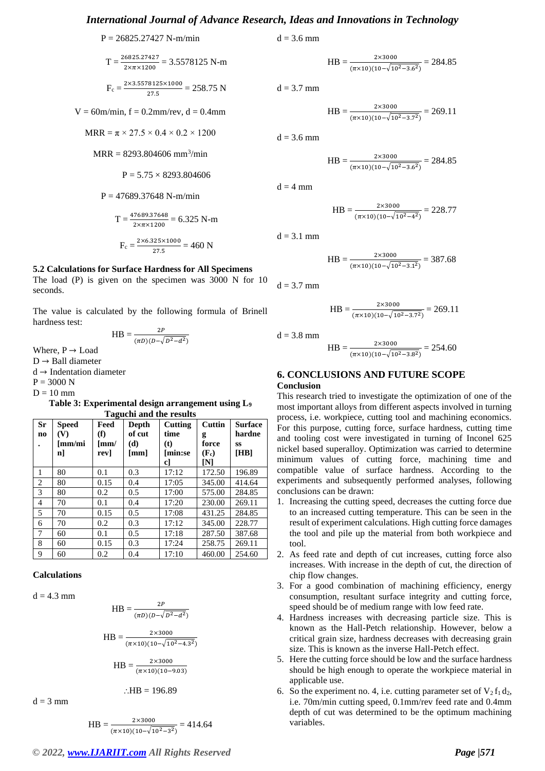$$
P = 26825.27427
$$
 N-m/min

$$
T = \frac{26825.27427}{2 \times \pi \times 1200} = 3.5578125 \text{ N-m}
$$

$$
F_c = \frac{2 \times 3.5578125 \times 1000}{27.5} = 258.75 N
$$

 $V = 60$ m/min,  $f = 0.2$ mm/rev,  $d = 0.4$ mm

$$
MRR = \pi \times 27.5 \times 0.4 \times 0.2 \times 1200
$$

 $MRR = 8293.804606$  mm<sup>3</sup>/min

$$
P = 5.75 \times 8293.804606
$$

 $P = 47689.37648$  N-m/min

$$
T = \frac{47689.37648}{2 \times \pi \times 1200} = 6.325 \text{ N-m}
$$

$$
F_c = \frac{2 \times 6.325 \times 1000}{27.5} = 460 \text{ N}
$$

#### **5.2 Calculations for Surface Hardness for All Specimens**

The load (P) is given on the specimen was 3000 N for 10 seconds.

The value is calculated by the following formula of Brinell hardness test:

$$
HB = \frac{2P}{(\pi D)(D - \sqrt{D^2 - d^2})}
$$

Where,  $P \rightarrow$  Load  $D \rightarrow$  Ball diameter

d → Indentation diameter

 $P = 3000 N$  $D = 10$  mm

**Table 3: Experimental design arrangement using L<sup>9</sup> Taguchi and the results**

| Sr<br>no       | <b>Speed</b><br>(V)<br>[mm/mi<br>n] | Feed<br>(f)<br>[mm/<br>rev] | Depth<br>of cut<br>(d)<br>[mm] | Cutting<br>time<br>(t)<br>[min:se<br>c] | <b>Cuttin</b><br>g<br>force<br>$(F_c)$<br>ſΝl | <b>Surface</b><br>hardne<br>SS<br>[HB] |
|----------------|-------------------------------------|-----------------------------|--------------------------------|-----------------------------------------|-----------------------------------------------|----------------------------------------|
| 1              | 80                                  | 0.1                         | 0.3                            | 17:12                                   | 172.50                                        | 196.89                                 |
| 2              | 80                                  | 0.15                        | 0.4                            | 17:05                                   | 345.00                                        | 414.64                                 |
| 3              | 80                                  | 0.2                         | 0.5                            | 17:00                                   | 575.00                                        | 284.85                                 |
| $\overline{4}$ | 70                                  | 0.1                         | 0.4                            | 17:20                                   | 230.00                                        | 269.11                                 |
| 5              | 70                                  | 0.15                        | 0.5                            | 17:08                                   | 431.25                                        | 284.85                                 |
| 6              | 70                                  | 0.2                         | 0.3                            | 17:12                                   | 345.00                                        | 228.77                                 |
| 7              | 60                                  | 0.1                         | 0.5                            | 17:18                                   | 287.50                                        | 387.68                                 |
| 8              | 60                                  | 0.15                        | 0.3                            | 17:24                                   | 258.75                                        | 269.11                                 |
| 9              | 60                                  | 0.2                         | 0.4                            | 17:10                                   | 460.00                                        | 254.60                                 |

#### **Calculations**

 $d = 4.3$  mm

$$
HB = \frac{2P}{(\pi D)(D - \sqrt{D^2 - d^2})}
$$

$$
HB = \frac{2 \times 3000}{(\pi \times 10)(10 - \sqrt{10^2 - 4.3^2})}
$$

$$
HB = \frac{2 \times 3000}{(\pi \times 10)(10 - 9.03)}
$$

 $d = 3$  mm

$$
HB = \frac{2 \times 3000}{(\pi \times 10)(10 - \sqrt{10^2 - 3^2})} = 414.64
$$

 $\therefore$ HB = 196.89

 $d = 3.6$  mm

$$
HB = \frac{2 \times 3000}{(\pi \times 10)(10 - \sqrt{10^2 - 3.6^2})} = 284.85
$$

 $d = 3.7$  mm

$$
HB = \frac{2 \times 3000}{(\pi \times 10)(10 - \sqrt{10^2 - 3.7^2})} = 269.11
$$

 $d = 3.6$  mm

$$
HB = \frac{2 \times 3000}{(\pi \times 10)(10 - \sqrt{10^2 - 3.6^2})} = 284.85
$$

 $d = 4$  mm

$$
HB = \frac{2 \times 3000}{(\pi \times 10)(10 - \sqrt{10^2 - 4^2})} = 228.77
$$

 $d = 3.1$  mm

$$
HB = \frac{2 \times 3000}{(\pi \times 10)(10 - \sqrt{10^2 - 3.1^2})} = 387.68
$$

 $d = 3.7$  mm

$$
HB = \frac{2 \times 3000}{(\pi \times 10)(10 - \sqrt{10^2 - 3.7^2})} = 269.11
$$

 $d = 3.8$  mm

$$
HB = \frac{2 \times 3000}{(\pi \times 10)(10 - \sqrt{10^2 - 3.8^2})} = 254.60
$$

#### **6. CONCLUSIONS AND FUTURE SCOPE Conclusion**

This research tried to investigate the optimization of one of the most important alloys from different aspects involved in turning process, i.e. workpiece, cutting tool and machining economics. For this purpose, cutting force, surface hardness, cutting time and tooling cost were investigated in turning of Inconel 625 nickel based superalloy. Optimization was carried to determine minimum values of cutting force, machining time and compatible value of surface hardness. According to the experiments and subsequently performed analyses, following conclusions can be drawn:

- 1. Increasing the cutting speed, decreases the cutting force due to an increased cutting temperature. This can be seen in the result of experiment calculations. High cutting force damages the tool and pile up the material from both workpiece and tool.
- 2. As feed rate and depth of cut increases, cutting force also increases. With increase in the depth of cut, the direction of chip flow changes.
- 3. For a good combination of machining efficiency, energy consumption, resultant surface integrity and cutting force, speed should be of medium range with low feed rate.
- 4. Hardness increases with decreasing particle size. This is known as the Hall-Petch relationship. However, below a critical grain size, hardness decreases with decreasing grain size. This is known as the inverse Hall-Petch effect.
- 5. Here the cutting force should be low and the surface hardness should be high enough to operate the workpiece material in applicable use.
- 6. So the experiment no. 4, i.e. cutting parameter set of  $V_2 f_1 d_2$ , i.e. 70m/min cutting speed, 0.1mm/rev feed rate and 0.4mm depth of cut was determined to be the optimum machining variables.